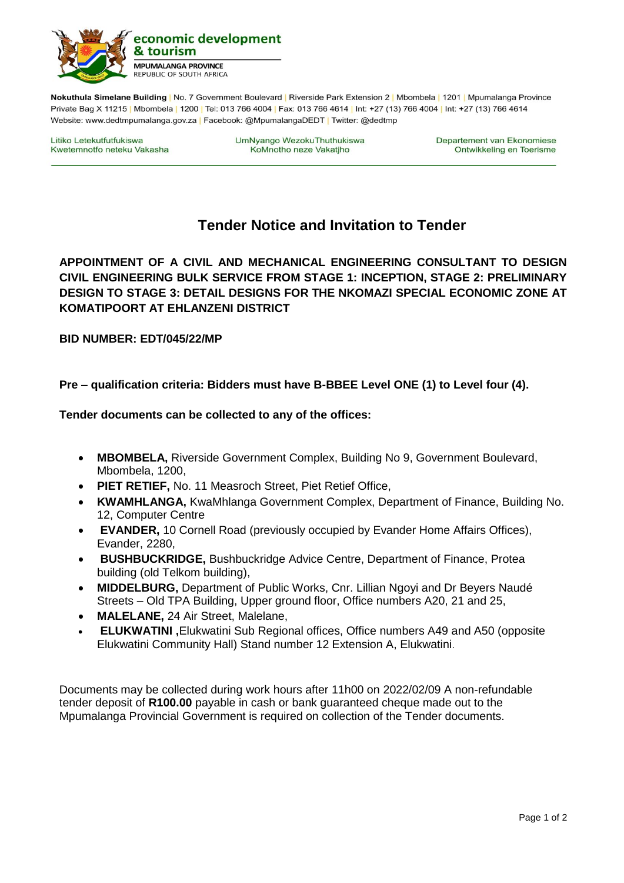

Nokuthula Simelane Building | No. 7 Government Boulevard | Riverside Park Extension 2 | Mbombela | 1201 | Mpumalanga Province Private Bag X 11215 | Mbombela | 1200 | Tel: 013 766 4004 | Fax: 013 766 4614 | Int: +27 (13) 766 4004 | Int: +27 (13) 766 4614 Website: www.dedtmpumalanga.gov.za | Facebook: @MpumalangaDEDT | Twitter: @dedtmp

Litiko Letekutfutfukiswa Kwetemnotfo neteku Vakasha UmNyango WezokuThuthukiswa KoMnotho neze Vakatjho

Departement van Ekonomiese Ontwikkeling en Toerisme

# **Tender Notice and Invitation to Tender**

**APPOINTMENT OF A CIVIL AND MECHANICAL ENGINEERING CONSULTANT TO DESIGN CIVIL ENGINEERING BULK SERVICE FROM STAGE 1: INCEPTION, STAGE 2: PRELIMINARY DESIGN TO STAGE 3: DETAIL DESIGNS FOR THE NKOMAZI SPECIAL ECONOMIC ZONE AT KOMATIPOORT AT EHLANZENI DISTRICT**

**BID NUMBER: EDT/045/22/MP**

## **Pre – qualification criteria: Bidders must have B-BBEE Level ONE (1) to Level four (4).**

**Tender documents can be collected to any of the offices:** 

- **MBOMBELA,** Riverside Government Complex, Building No 9, Government Boulevard, Mbombela, 1200,
- **PIET RETIEF,** No. 11 Measroch Street, Piet Retief Office,
- **KWAMHLANGA,** KwaMhlanga Government Complex, Department of Finance, Building No. 12, Computer Centre
- **EVANDER,** 10 Cornell Road (previously occupied by Evander Home Affairs Offices), Evander, 2280,
- **BUSHBUCKRIDGE,** Bushbuckridge Advice Centre, Department of Finance, Protea building (old Telkom building),
- **MIDDELBURG,** Department of Public Works, Cnr. Lillian Ngoyi and Dr Beyers Naudé Streets – Old TPA Building, Upper ground floor, Office numbers A20, 21 and 25,
- **MALELANE,** 24 Air Street, Malelane,
- **ELUKWATINI ,**Elukwatini Sub Regional offices, Office numbers A49 and A50 (opposite Elukwatini Community Hall) Stand number 12 Extension A, Elukwatini.

Documents may be collected during work hours after 11h00 on 2022/02/09 A non-refundable tender deposit of **R100.00** payable in cash or bank guaranteed cheque made out to the Mpumalanga Provincial Government is required on collection of the Tender documents.